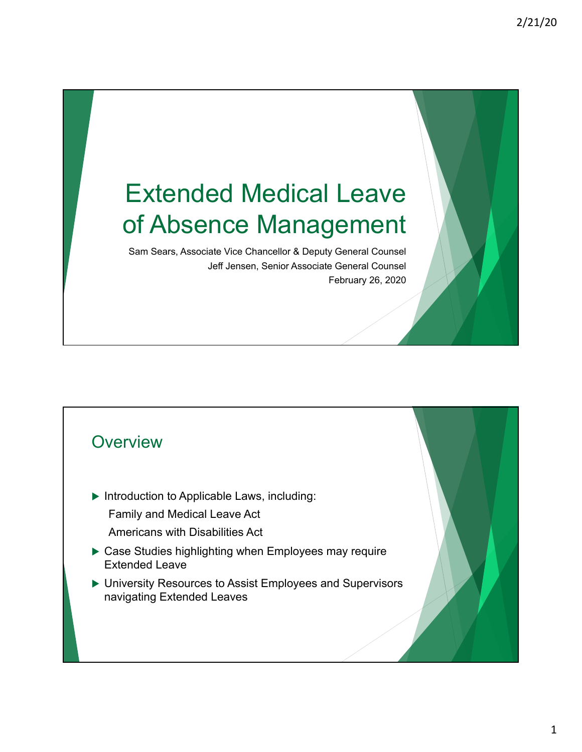# Extended Medical Leave of Absence Management

Sam Sears, Associate Vice Chancellor & Deputy General Counsel Jeff Jensen, Senior Associate General Counsel February 26, 2020

#### **Overview**

 $\blacktriangleright$  Introduction to Applicable Laws, including:

Family and Medical Leave Act

- Americans with Disabilities Act
- $\triangleright$  Case Studies highlighting when Employees may require Extended Leave
- ▶ University Resources to Assist Employees and Supervisors navigating Extended Leaves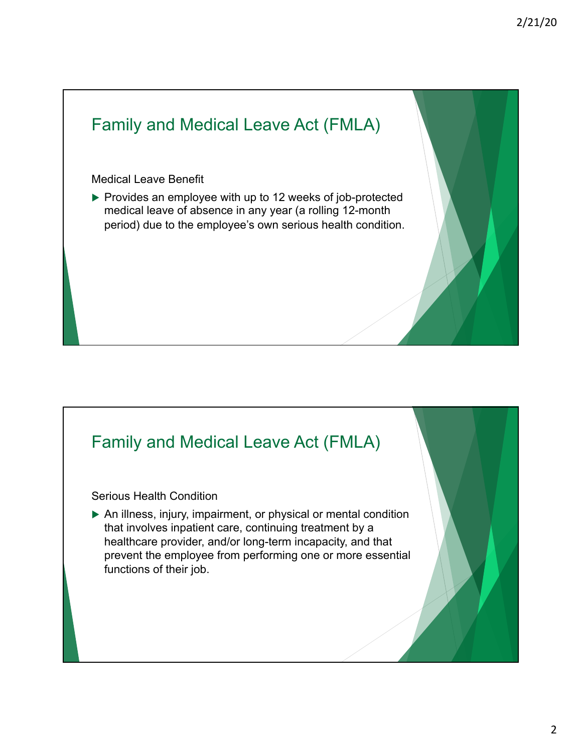### Family and Medical Leave Act (FMLA)

#### Medical Leave Benefit

 $\triangleright$  Provides an employee with up to 12 weeks of job-protected medical leave of absence in any year (a rolling 12-month period) due to the employee's own serious health condition.

#### Family and Medical Leave Act (FMLA)

Serious Health Condition

 $\triangleright$  An illness, injury, impairment, or physical or mental condition that involves inpatient care, continuing treatment by a healthcare provider, and/or long-term incapacity, and that prevent the employee from performing one or more essential functions of their job.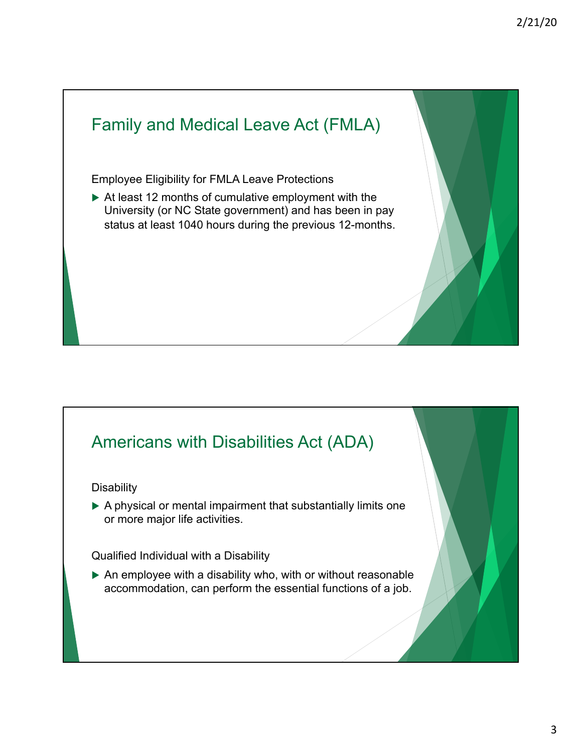## Family and Medical Leave Act (FMLA) Employee Eligibility for FMLA Leave Protections  $\triangleright$  At least 12 months of cumulative employment with the University (or NC State government) and has been in pay status at least 1040 hours during the previous 12-months.

### Americans with Disabilities Act (ADA)

**Disability** 

 $\triangleright$  A physical or mental impairment that substantially limits one or more major life activities.

Qualified Individual with a Disability

 $\triangleright$  An employee with a disability who, with or without reasonable accommodation, can perform the essential functions of a job.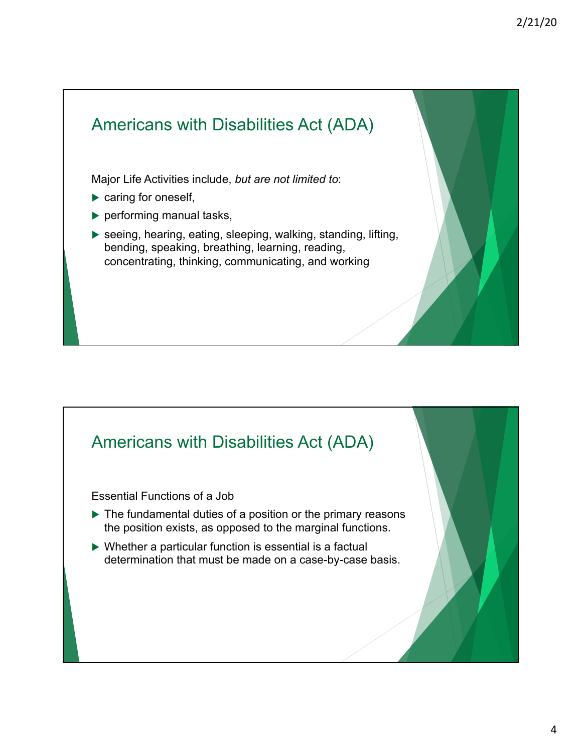

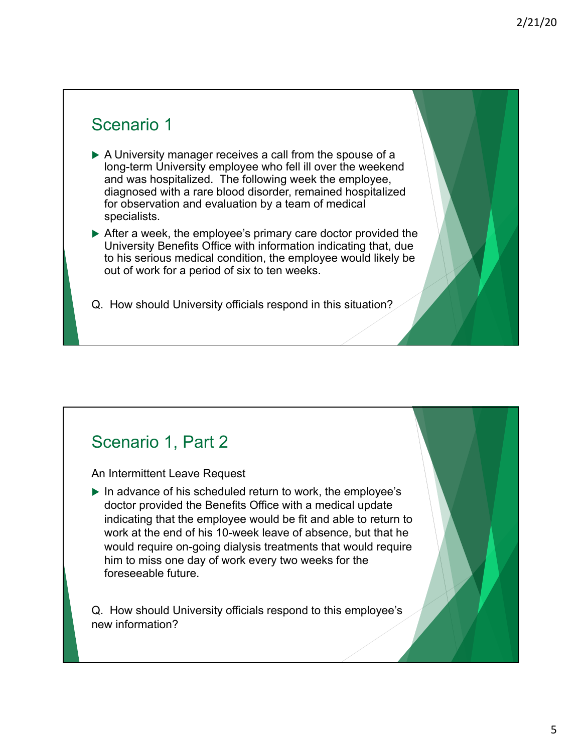#### Scenario 1

- $\triangleright$  A University manager receives a call from the spouse of a long-term University employee who fell ill over the weekend and was hospitalized. The following week the employee, diagnosed with a rare blood disorder, remained hospitalized for observation and evaluation by a team of medical specialists.
- $\triangleright$  After a week, the employee's primary care doctor provided the University Benefits Office with information indicating that, due to his serious medical condition, the employee would likely be out of work for a period of six to ten weeks.
- Q. How should University officials respond in this situation?

### Scenario 1, Part 2

An Intermittent Leave Request

 $\blacktriangleright$  In advance of his scheduled return to work, the employee's doctor provided the Benefits Office with a medical update indicating that the employee would be fit and able to return to work at the end of his 10-week leave of absence, but that he would require on-going dialysis treatments that would require him to miss one day of work every two weeks for the foreseeable future.

Q. How should University officials respond to this employee's new information?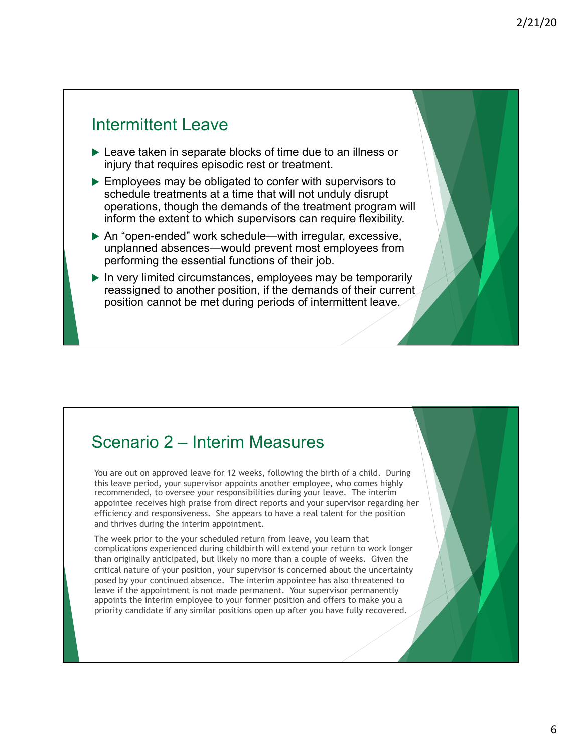#### Intermittent Leave

- $\blacktriangleright$  Leave taken in separate blocks of time due to an illness or injury that requires episodic rest or treatment.
- $\triangleright$  Employees may be obligated to confer with supervisors to schedule treatments at a time that will not unduly disrupt operations, though the demands of the treatment program will inform the extent to which supervisors can require flexibility.
- $\triangleright$  An "open-ended" work schedule—with irregular, excessive, unplanned absences—would prevent most employees from performing the essential functions of their job.
- $\blacktriangleright$  In very limited circumstances, employees may be temporarily reassigned to another position, if the demands of their current position cannot be met during periods of intermittent leave.

#### Scenario 2 – Interim Measures

You are out on approved leave for 12 weeks, following the birth of a child. During this leave period, your supervisor appoints another employee, who comes highly recommended, to oversee your responsibilities during your leave. The interim appointee receives high praise from direct reports and your supervisor regarding her efficiency and responsiveness. She appears to have a real talent for the position and thrives during the interim appointment.

The week prior to the your scheduled return from leave, you learn that complications experienced during childbirth will extend your return to work longer than originally anticipated, but likely no more than a couple of weeks. Given the critical nature of your position, your supervisor is concerned about the uncertainty posed by your continued absence. The interim appointee has also threatened to leave if the appointment is not made permanent. Your supervisor permanently appoints the interim employee to your former position and offers to make you a priority candidate if any similar positions open up after you have fully recovered.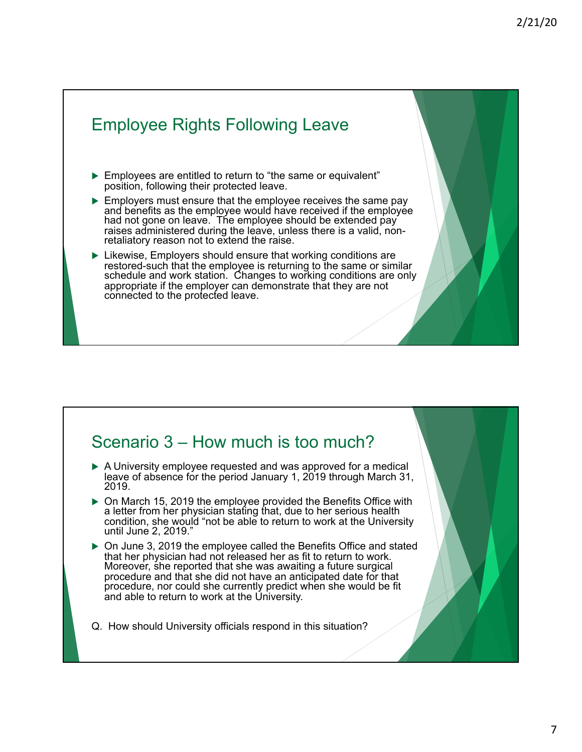### Employee Rights Following Leave

- $\blacktriangleright$  Employees are entitled to return to "the same or equivalent" position, following their protected leave.
- $\blacktriangleright$  Employers must ensure that the employee receives the same pay and benefits as the employee would have received if the employee had not gone on leave. The employee should be extended pay raises administered during the leave, unless there is a valid, non- retaliatory reason not to extend the raise.
- $\blacktriangleright$  Likewise, Employers should ensure that working conditions are restored-such that the employee is returning to the same or similar schedule and work station. Changes to working conditions are only appropriate if the employer can demonstrate that they are not connected to the protected leave.

#### Scenario 3 – How much is too much?

- $\triangleright$  A University employee requested and was approved for a medical leave of absence for the period January 1, 2019 through March 31, 2019.
- <sup>u</sup> On March 15, 2019 the employee provided the Benefits Office with a letter from her physician stating that, due to her serious health condition, she would "not be able to return to work at the University until June 2, 2019."
- $\triangleright$  On June 3, 2019 the employee called the Benefits Office and stated that her physician had not released her as fit to return to work. Moreover, she reported that she was awaiting a future surgical procedure and that she did not have an anticipated date for that procedure, nor could she currently predict when she would be fit and able to return to work at the University.
- Q. How should University officials respond in this situation?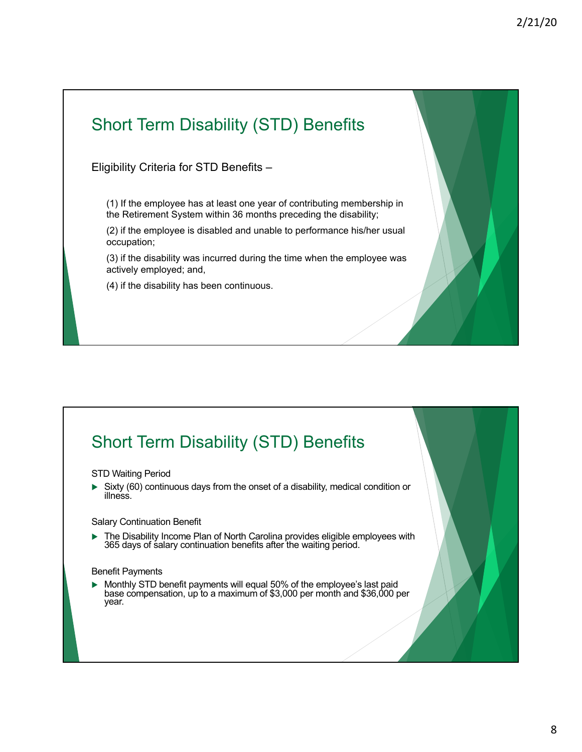### Short Term Disability (STD) Benefits

Eligibility Criteria for STD Benefits –

(1) If the employee has at least one year of contributing membership in the Retirement System within 36 months preceding the disability;

(2) if the employee is disabled and unable to performance his/her usual occupation;

(3) if the disability was incurred during the time when the employee was actively employed; and,

(4) if the disability has been continuous.

### Short Term Disability (STD) Benefits

#### STD Waiting Period

 $\triangleright$  Sixty (60) continuous days from the onset of a disability, medical condition or illness.

Salary Continuation Benefit

 $\blacktriangleright$  The Disability Income Plan of North Carolina provides eligible employees with 365 days of salary continuation benefits after the waiting period.

#### Benefit Payments

 $\blacktriangleright$  Monthly STD benefit payments will equal 50% of the employee's last paid base compensation, up to a maximum of \$3,000 per month and \$36,000 per year.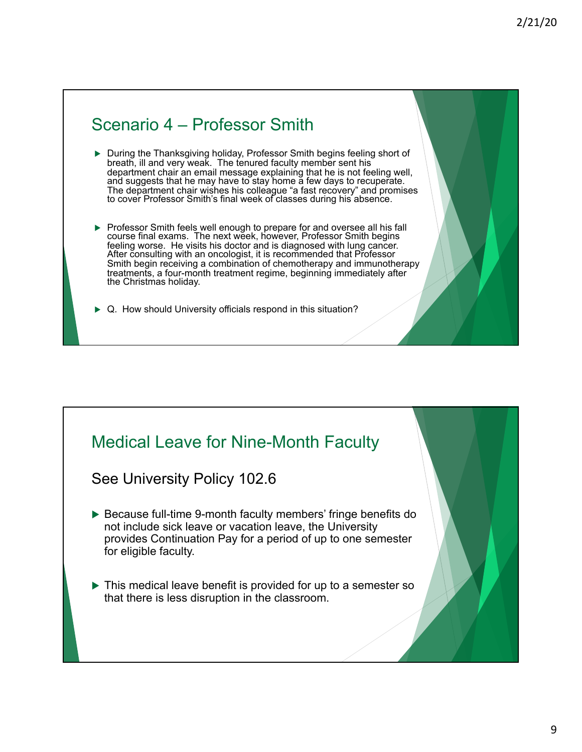#### Scenario 4 – Professor Smith

- During the Thanksgiving holiday, Professor Smith begins feeling short of breath, ill and very weak. The tenured faculty member sent his department chair an email message explaining that he is not feeling well, and suggests that he may have to stay home a few days to recuperate. The department chair wishes his colleague "a fast recovery" and promises to cover Professor Smith's final week of classes during his absence.
- **Professor Smith feels well enough to prepare for and oversee all his fall** course final exams. The next week, however, Professor Smith begins feeling worse. He visits his doctor and is diagnosed with lung cancer. After consulting with an oncologist, it is recommended that Professor Smith begin receiving a combination of chemotherapy and immunotherapy treatments, a four-month treatment regime, beginning immediately after the Christmas holiday.
- $\triangleright$  Q. How should University officials respond in this situation?